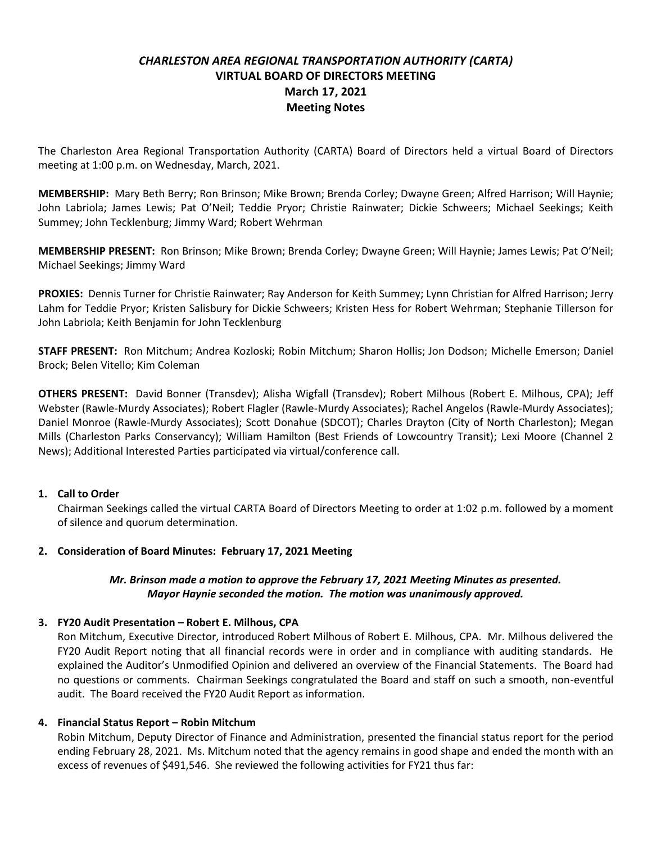# *CHARLESTON AREA REGIONAL TRANSPORTATION AUTHORITY (CARTA)* **VIRTUAL BOARD OF DIRECTORS MEETING March 17, 2021 Meeting Notes**

The Charleston Area Regional Transportation Authority (CARTA) Board of Directors held a virtual Board of Directors meeting at 1:00 p.m. on Wednesday, March, 2021.

**MEMBERSHIP:** Mary Beth Berry; Ron Brinson; Mike Brown; Brenda Corley; Dwayne Green; Alfred Harrison; Will Haynie; John Labriola; James Lewis; Pat O'Neil; Teddie Pryor; Christie Rainwater; Dickie Schweers; Michael Seekings; Keith Summey; John Tecklenburg; Jimmy Ward; Robert Wehrman

**MEMBERSHIP PRESENT:** Ron Brinson; Mike Brown; Brenda Corley; Dwayne Green; Will Haynie; James Lewis; Pat O'Neil; Michael Seekings; Jimmy Ward

**PROXIES:** Dennis Turner for Christie Rainwater; Ray Anderson for Keith Summey; Lynn Christian for Alfred Harrison; Jerry Lahm for Teddie Pryor; Kristen Salisbury for Dickie Schweers; Kristen Hess for Robert Wehrman; Stephanie Tillerson for John Labriola; Keith Benjamin for John Tecklenburg

**STAFF PRESENT:** Ron Mitchum; Andrea Kozloski; Robin Mitchum; Sharon Hollis; Jon Dodson; Michelle Emerson; Daniel Brock; Belen Vitello; Kim Coleman

**OTHERS PRESENT:** David Bonner (Transdev); Alisha Wigfall (Transdev); Robert Milhous (Robert E. Milhous, CPA); Jeff Webster (Rawle-Murdy Associates); Robert Flagler (Rawle-Murdy Associates); Rachel Angelos (Rawle-Murdy Associates); Daniel Monroe (Rawle-Murdy Associates); Scott Donahue (SDCOT); Charles Drayton (City of North Charleston); Megan Mills (Charleston Parks Conservancy); William Hamilton (Best Friends of Lowcountry Transit); Lexi Moore (Channel 2 News); Additional Interested Parties participated via virtual/conference call.

### **1. Call to Order**

Chairman Seekings called the virtual CARTA Board of Directors Meeting to order at 1:02 p.m. followed by a moment of silence and quorum determination.

### **2. Consideration of Board Minutes: February 17, 2021 Meeting**

## *Mr. Brinson made a motion to approve the February 17, 2021 Meeting Minutes as presented. Mayor Haynie seconded the motion. The motion was unanimously approved.*

### **3. FY20 Audit Presentation – Robert E. Milhous, CPA**

Ron Mitchum, Executive Director, introduced Robert Milhous of Robert E. Milhous, CPA. Mr. Milhous delivered the FY20 Audit Report noting that all financial records were in order and in compliance with auditing standards. He explained the Auditor's Unmodified Opinion and delivered an overview of the Financial Statements. The Board had no questions or comments. Chairman Seekings congratulated the Board and staff on such a smooth, non-eventful audit. The Board received the FY20 Audit Report as information.

### **4. Financial Status Report – Robin Mitchum**

Robin Mitchum, Deputy Director of Finance and Administration, presented the financial status report for the period ending February 28, 2021. Ms. Mitchum noted that the agency remains in good shape and ended the month with an excess of revenues of \$491,546. She reviewed the following activities for FY21 thus far: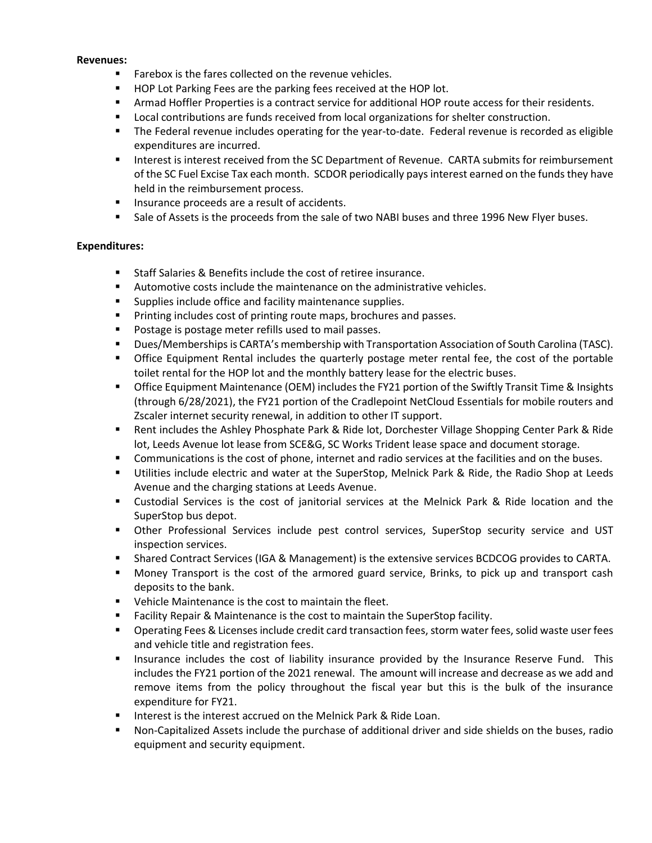#### **Revenues:**

- Farebox is the fares collected on the revenue vehicles.
- HOP Lot Parking Fees are the parking fees received at the HOP lot.
- **Armad Hoffler Properties is a contract service for additional HOP route access for their residents.**
- Local contributions are funds received from local organizations for shelter construction.
- The Federal revenue includes operating for the year-to-date. Federal revenue is recorded as eligible expenditures are incurred.
- Interest is interest received from the SC Department of Revenue. CARTA submits for reimbursement of the SC Fuel Excise Tax each month. SCDOR periodically pays interest earned on the funds they have held in the reimbursement process.
- Insurance proceeds are a result of accidents.
- Sale of Assets is the proceeds from the sale of two NABI buses and three 1996 New Flyer buses.

### **Expenditures:**

- Staff Salaries & Benefits include the cost of retiree insurance.
- Automotive costs include the maintenance on the administrative vehicles.
- Supplies include office and facility maintenance supplies.
- Printing includes cost of printing route maps, brochures and passes.
- Postage is postage meter refills used to mail passes.
- Dues/Memberships is CARTA's membership with Transportation Association of South Carolina (TASC).
- **•** Office Equipment Rental includes the quarterly postage meter rental fee, the cost of the portable toilet rental for the HOP lot and the monthly battery lease for the electric buses.
- Office Equipment Maintenance (OEM) includes the FY21 portion of the Swiftly Transit Time & Insights (through 6/28/2021), the FY21 portion of the Cradlepoint NetCloud Essentials for mobile routers and Zscaler internet security renewal, in addition to other IT support.
- Rent includes the Ashley Phosphate Park & Ride lot, Dorchester Village Shopping Center Park & Ride lot, Leeds Avenue lot lease from SCE&G, SC Works Trident lease space and document storage.
- Communications is the cost of phone, internet and radio services at the facilities and on the buses.
- **■** Utilities include electric and water at the SuperStop, Melnick Park & Ride, the Radio Shop at Leeds Avenue and the charging stations at Leeds Avenue.
- Custodial Services is the cost of janitorial services at the Melnick Park & Ride location and the SuperStop bus depot.
- Other Professional Services include pest control services, SuperStop security service and UST inspection services.
- Shared Contract Services (IGA & Management) is the extensive services BCDCOG provides to CARTA.
- Money Transport is the cost of the armored guard service, Brinks, to pick up and transport cash deposits to the bank.
- Vehicle Maintenance is the cost to maintain the fleet.
- Facility Repair & Maintenance is the cost to maintain the SuperStop facility.
- Operating Fees & Licenses include credit card transaction fees, storm water fees, solid waste user fees and vehicle title and registration fees.
- **■** Insurance includes the cost of liability insurance provided by the Insurance Reserve Fund. This includes the FY21 portion of the 2021 renewal. The amount will increase and decrease as we add and remove items from the policy throughout the fiscal year but this is the bulk of the insurance expenditure for FY21.
- Interest is the interest accrued on the Melnick Park & Ride Loan.
- Non-Capitalized Assets include the purchase of additional driver and side shields on the buses, radio equipment and security equipment.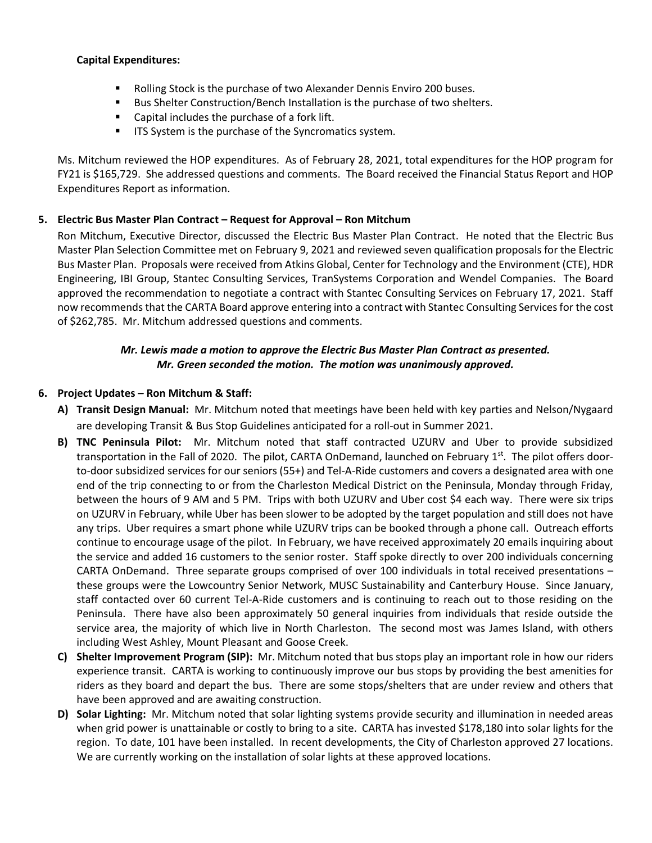### **Capital Expenditures:**

- Rolling Stock is the purchase of two Alexander Dennis Enviro 200 buses.
- Bus Shelter Construction/Bench Installation is the purchase of two shelters.
- Capital includes the purchase of a fork lift.
- **■** ITS System is the purchase of the Syncromatics system.

Ms. Mitchum reviewed the HOP expenditures. As of February 28, 2021, total expenditures for the HOP program for FY21 is \$165,729. She addressed questions and comments. The Board received the Financial Status Report and HOP Expenditures Report as information.

## **5. Electric Bus Master Plan Contract – Request for Approval – Ron Mitchum**

Ron Mitchum, Executive Director, discussed the Electric Bus Master Plan Contract. He noted that the Electric Bus Master Plan Selection Committee met on February 9, 2021 and reviewed seven qualification proposals for the Electric Bus Master Plan. Proposals were received from Atkins Global, Center for Technology and the Environment (CTE), HDR Engineering, IBI Group, Stantec Consulting Services, TranSystems Corporation and Wendel Companies. The Board approved the recommendation to negotiate a contract with Stantec Consulting Services on February 17, 2021. Staff now recommends that the CARTA Board approve entering into a contract with Stantec Consulting Services for the cost of \$262,785. Mr. Mitchum addressed questions and comments.

## *Mr. Lewis made a motion to approve the Electric Bus Master Plan Contract as presented. Mr. Green seconded the motion. The motion was unanimously approved.*

## **6. Project Updates – Ron Mitchum & Staff:**

- **A) Transit Design Manual:** Mr. Mitchum noted that meetings have been held with key parties and Nelson/Nygaard are developing Transit & Bus Stop Guidelines anticipated for a roll-out in Summer 2021.
- **B) TNC Peninsula Pilot:** Mr. Mitchum noted that **s**taff contracted UZURV and Uber to provide subsidized transportation in the Fall of 2020. The pilot, CARTA OnDemand, launched on February 1<sup>st</sup>. The pilot offers doorto-door subsidized services for our seniors (55+) and Tel-A-Ride customers and covers a designated area with one end of the trip connecting to or from the Charleston Medical District on the Peninsula, Monday through Friday, between the hours of 9 AM and 5 PM. Trips with both UZURV and Uber cost \$4 each way. There were six trips on UZURV in February, while Uber has been slower to be adopted by the target population and still does not have any trips. Uber requires a smart phone while UZURV trips can be booked through a phone call. Outreach efforts continue to encourage usage of the pilot. In February, we have received approximately 20 emails inquiring about the service and added 16 customers to the senior roster. Staff spoke directly to over 200 individuals concerning CARTA OnDemand. Three separate groups comprised of over 100 individuals in total received presentations – these groups were the Lowcountry Senior Network, MUSC Sustainability and Canterbury House. Since January, staff contacted over 60 current Tel-A-Ride customers and is continuing to reach out to those residing on the Peninsula. There have also been approximately 50 general inquiries from individuals that reside outside the service area, the majority of which live in North Charleston. The second most was James Island, with others including West Ashley, Mount Pleasant and Goose Creek.
- **C) Shelter Improvement Program (SIP):** Mr. Mitchum noted that bus stops play an important role in how our riders experience transit. CARTA is working to continuously improve our bus stops by providing the best amenities for riders as they board and depart the bus. There are some stops/shelters that are under review and others that have been approved and are awaiting construction.
- **D) Solar Lighting:** Mr. Mitchum noted that solar lighting systems provide security and illumination in needed areas when grid power is unattainable or costly to bring to a site. CARTA has invested \$178,180 into solar lights for the region. To date, 101 have been installed. In recent developments, the City of Charleston approved 27 locations. We are currently working on the installation of solar lights at these approved locations.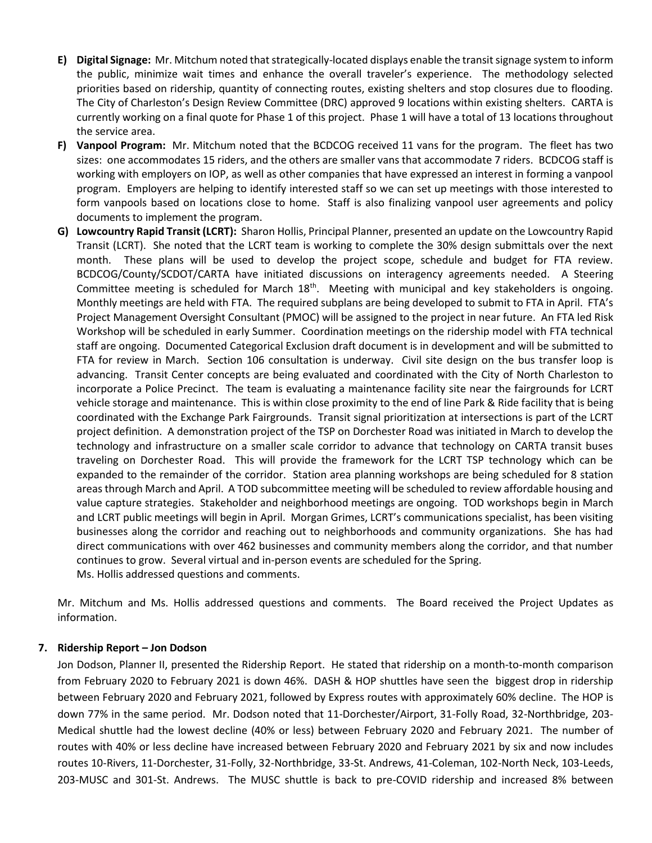- **E) Digital Signage:** Mr. Mitchum noted that strategically-located displays enable the transit signage system to inform the public, minimize wait times and enhance the overall traveler's experience. The methodology selected priorities based on ridership, quantity of connecting routes, existing shelters and stop closures due to flooding. The City of Charleston's Design Review Committee (DRC) approved 9 locations within existing shelters. CARTA is currently working on a final quote for Phase 1 of this project. Phase 1 will have a total of 13 locations throughout the service area.
- **F) Vanpool Program:** Mr. Mitchum noted that the BCDCOG received 11 vans for the program. The fleet has two sizes: one accommodates 15 riders, and the others are smaller vans that accommodate 7 riders. BCDCOG staff is working with employers on IOP, as well as other companies that have expressed an interest in forming a vanpool program. Employers are helping to identify interested staff so we can set up meetings with those interested to form vanpools based on locations close to home. Staff is also finalizing vanpool user agreements and policy documents to implement the program.
- **G) Lowcountry Rapid Transit (LCRT):** Sharon Hollis, Principal Planner, presented an update on the Lowcountry Rapid Transit (LCRT). She noted that the LCRT team is working to complete the 30% design submittals over the next month. These plans will be used to develop the project scope, schedule and budget for FTA review. BCDCOG/County/SCDOT/CARTA have initiated discussions on interagency agreements needed. A Steering Committee meeting is scheduled for March  $18<sup>th</sup>$ . Meeting with municipal and key stakeholders is ongoing. Monthly meetings are held with FTA. The required subplans are being developed to submit to FTA in April. FTA's Project Management Oversight Consultant (PMOC) will be assigned to the project in near future. An FTA led Risk Workshop will be scheduled in early Summer. Coordination meetings on the ridership model with FTA technical staff are ongoing. Documented Categorical Exclusion draft document is in development and will be submitted to FTA for review in March. Section 106 consultation is underway. Civil site design on the bus transfer loop is advancing. Transit Center concepts are being evaluated and coordinated with the City of North Charleston to incorporate a Police Precinct. The team is evaluating a maintenance facility site near the fairgrounds for LCRT vehicle storage and maintenance. This is within close proximity to the end of line Park & Ride facility that is being coordinated with the Exchange Park Fairgrounds. Transit signal prioritization at intersections is part of the LCRT project definition. A demonstration project of the TSP on Dorchester Road was initiated in March to develop the technology and infrastructure on a smaller scale corridor to advance that technology on CARTA transit buses traveling on Dorchester Road. This will provide the framework for the LCRT TSP technology which can be expanded to the remainder of the corridor. Station area planning workshops are being scheduled for 8 station areas through March and April. A TOD subcommittee meeting will be scheduled to review affordable housing and value capture strategies. Stakeholder and neighborhood meetings are ongoing. TOD workshops begin in March and LCRT public meetings will begin in April. Morgan Grimes, LCRT's communications specialist, has been visiting businesses along the corridor and reaching out to neighborhoods and community organizations. She has had direct communications with over 462 businesses and community members along the corridor, and that number continues to grow. Several virtual and in-person events are scheduled for the Spring. Ms. Hollis addressed questions and comments.

Mr. Mitchum and Ms. Hollis addressed questions and comments. The Board received the Project Updates as information.

### **7. Ridership Report – Jon Dodson**

Jon Dodson, Planner II, presented the Ridership Report. He stated that ridership on a month-to-month comparison from February 2020 to February 2021 is down 46%. DASH & HOP shuttles have seen the biggest drop in ridership between February 2020 and February 2021, followed by Express routes with approximately 60% decline. The HOP is down 77% in the same period. Mr. Dodson noted that 11-Dorchester/Airport, 31-Folly Road, 32-Northbridge, 203- Medical shuttle had the lowest decline (40% or less) between February 2020 and February 2021. The number of routes with 40% or less decline have increased between February 2020 and February 2021 by six and now includes routes 10-Rivers, 11-Dorchester, 31-Folly, 32-Northbridge, 33-St. Andrews, 41-Coleman, 102-North Neck, 103-Leeds, 203-MUSC and 301-St. Andrews. The MUSC shuttle is back to pre-COVID ridership and increased 8% between